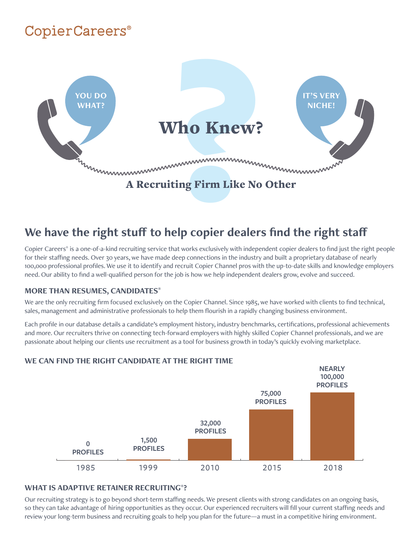# **CopierCareers®**



### **We have the right stuff to help copier dealers find the right staff**

Copier Careers® is a one-of-a-kind recruiting service that works exclusively with independent copier dealers to find just the right people for their staffing needs. Over 30 years, we have made deep connections in the industry and built a proprietary database of nearly 100,000 professional profiles. We use it to identify and recruit Copier Channel pros with the up-to-date skills and knowledge employers need. Our ability to find a well-qualified person for the job is how we help independent dealers grow, evolve and succeed.

#### **MORE THAN RESUMES, CANDIDATES®**

We are the only recruiting firm focused exclusively on the Copier Channel. Since 1985, we have worked with clients to find technical, sales, management and administrative professionals to help them flourish in a rapidly changing business environment.

Each profile in our database details a candidate's employment history, industry benchmarks, certifications, professional achievements and more. Our recruiters thrive on connecting tech-forward employers with highly skilled Copier Channel professionals, and we are passionate about helping our clients use recruitment as a tool for business growth in today's quickly evolving marketplace.



#### **WE CAN FIND THE RIGHT CANDIDATE AT THE RIGHT TIME**

#### **WHAT IS ADAPTIVE RETAINER RECRUITING®?**

Our recruiting strategy is to go beyond short-term staffing needs. We present clients with strong candidates on an ongoing basis, so they can take advantage of hiring opportunities as they occur. Our experienced recruiters will fill your current staffing needs and review your long-term business and recruiting goals to help you plan for the future—a must in a competitive hiring environment.